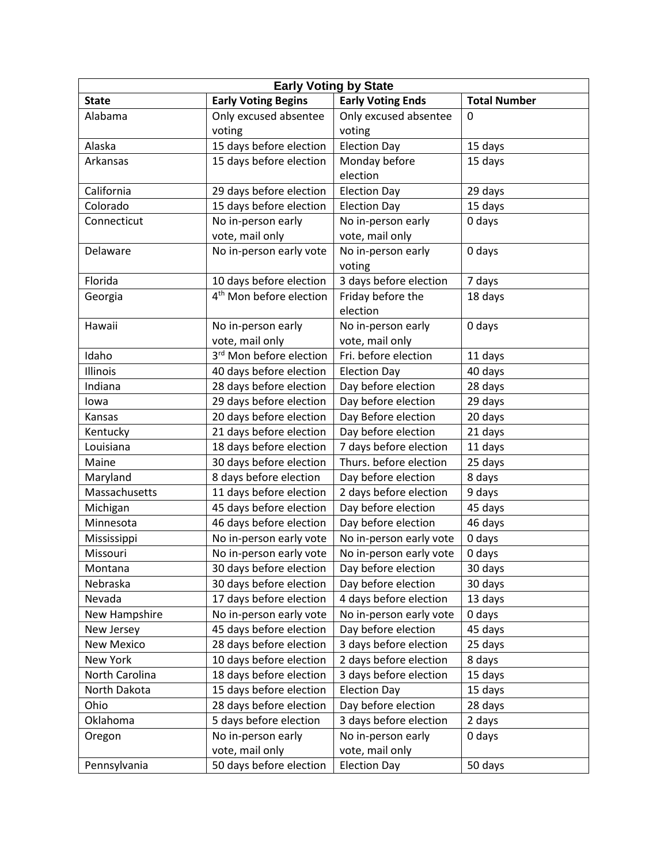| <b>Early Voting by State</b> |                                     |                          |                     |  |  |
|------------------------------|-------------------------------------|--------------------------|---------------------|--|--|
| <b>State</b>                 | <b>Early Voting Begins</b>          | <b>Early Voting Ends</b> | <b>Total Number</b> |  |  |
| Alabama                      | Only excused absentee               | Only excused absentee    | 0                   |  |  |
|                              | voting                              | voting                   |                     |  |  |
| Alaska                       | 15 days before election             | <b>Election Day</b>      | 15 days             |  |  |
| Arkansas                     | 15 days before election             | Monday before            | 15 days             |  |  |
|                              |                                     | election                 |                     |  |  |
| California                   | 29 days before election             | <b>Election Day</b>      | 29 days             |  |  |
| Colorado                     | 15 days before election             | <b>Election Day</b>      | 15 days             |  |  |
| Connecticut                  | No in-person early                  | No in-person early       | 0 days              |  |  |
|                              | vote, mail only                     | vote, mail only          |                     |  |  |
| Delaware                     | No in-person early vote             | No in-person early       | 0 days              |  |  |
|                              |                                     | voting                   |                     |  |  |
| Florida                      | 10 days before election             | 3 days before election   | 7 days              |  |  |
| Georgia                      | 4 <sup>th</sup> Mon before election | Friday before the        | 18 days             |  |  |
|                              |                                     | election                 |                     |  |  |
| Hawaii                       | No in-person early                  | No in-person early       | 0 days              |  |  |
|                              | vote, mail only                     | vote, mail only          |                     |  |  |
| Idaho                        | 3 <sup>rd</sup> Mon before election | Fri. before election     | 11 days             |  |  |
| Illinois                     | 40 days before election             | <b>Election Day</b>      | 40 days             |  |  |
| Indiana                      | 28 days before election             | Day before election      | 28 days             |  |  |
| lowa                         | 29 days before election             | Day before election      | 29 days             |  |  |
| Kansas                       | 20 days before election             | Day Before election      | 20 days             |  |  |
| Kentucky                     | 21 days before election             | Day before election      | 21 days             |  |  |
| Louisiana                    | 18 days before election             | 7 days before election   | 11 days             |  |  |
| Maine                        | 30 days before election             | Thurs. before election   | 25 days             |  |  |
| Maryland                     | 8 days before election              | Day before election      | 8 days              |  |  |
| Massachusetts                | 11 days before election             | 2 days before election   | 9 days              |  |  |
| Michigan                     | 45 days before election             | Day before election      | 45 days             |  |  |
| Minnesota                    | 46 days before election             | Day before election      | 46 days             |  |  |
| Mississippi                  | No in-person early vote             | No in-person early vote  | 0 days              |  |  |
| Missouri                     | No in-person early vote             | No in-person early vote  | 0 days              |  |  |
| Montana                      | 30 days before election             | Day before election      | 30 days             |  |  |
| Nebraska                     | 30 days before election             | Day before election      | 30 days             |  |  |
| Nevada                       | 17 days before election             | 4 days before election   | 13 days             |  |  |
| New Hampshire                | No in-person early vote             | No in-person early vote  | 0 days              |  |  |
| New Jersey                   | 45 days before election             | Day before election      | 45 days             |  |  |
| New Mexico                   | 28 days before election             | 3 days before election   | 25 days             |  |  |
| New York                     | 10 days before election             | 2 days before election   | 8 days              |  |  |
| North Carolina               | 18 days before election             | 3 days before election   | 15 days             |  |  |
| North Dakota                 | 15 days before election             | <b>Election Day</b>      | 15 days             |  |  |
| Ohio                         | 28 days before election             | Day before election      | 28 days             |  |  |
| Oklahoma                     | 5 days before election              | 3 days before election   | 2 days              |  |  |
| Oregon                       | No in-person early                  | No in-person early       | 0 days              |  |  |
|                              | vote, mail only                     | vote, mail only          |                     |  |  |
| Pennsylvania                 | 50 days before election             | <b>Election Day</b>      | 50 days             |  |  |